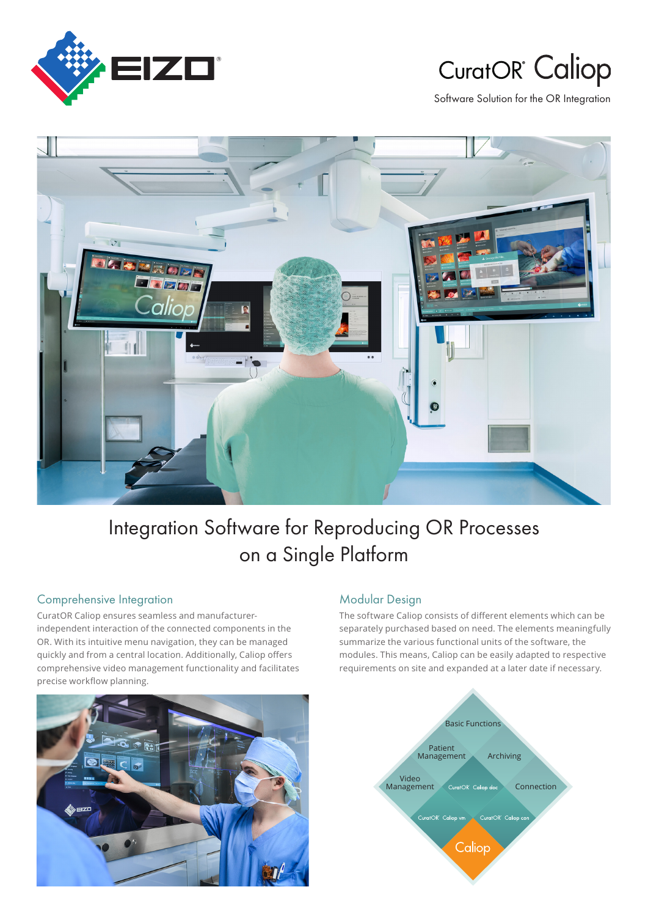

# **CuratOR** Caliop

Software Solution for the OR Integration



## Integration Software for Reproducing OR Processes on a Single Platform

#### Comprehensive Integration

independent interaction of the connected components in the CuratOR Caliop ensures seamless and manufacturer-OR. With its intuitive menu navigation, they can be managed quickly and from a central location. Additionally, Caliop offers comprehensive video management functionality and facilitates precise workflow planning.



#### Modular Design

The software Caliop consists of different elements which can be separately purchased based on need. The elements meaningfully summarize the various functional units of the software, the modules. This means, Caliop can be easily adapted to respective requirements on site and expanded at a later date if necessary.